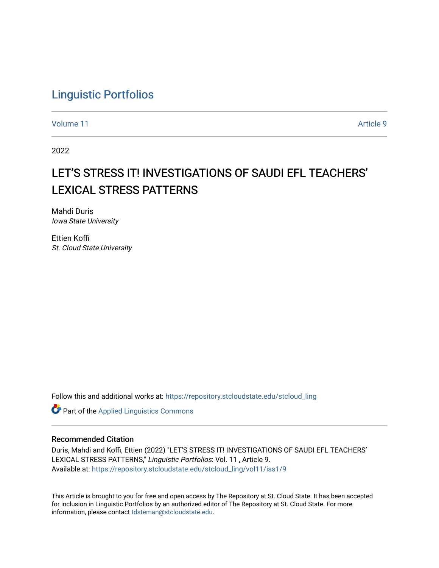# [Linguistic Portfolios](https://repository.stcloudstate.edu/stcloud_ling)

[Volume 11](https://repository.stcloudstate.edu/stcloud_ling/vol11) Article 9

2022

# LET'S STRESS IT! INVESTIGATIONS OF SAUDI EFL TEACHERS' LEXICAL STRESS PATTERNS

Mahdi Duris Iowa State University

Ettien Koffi St. Cloud State University

Follow this and additional works at: [https://repository.stcloudstate.edu/stcloud\\_ling](https://repository.stcloudstate.edu/stcloud_ling?utm_source=repository.stcloudstate.edu%2Fstcloud_ling%2Fvol11%2Fiss1%2F9&utm_medium=PDF&utm_campaign=PDFCoverPages) 

**Part of the Applied Linguistics Commons** 

#### Recommended Citation

Duris, Mahdi and Koffi, Ettien (2022) "LET'S STRESS IT! INVESTIGATIONS OF SAUDI EFL TEACHERS' LEXICAL STRESS PATTERNS," Linguistic Portfolios: Vol. 11 , Article 9. Available at: [https://repository.stcloudstate.edu/stcloud\\_ling/vol11/iss1/9](https://repository.stcloudstate.edu/stcloud_ling/vol11/iss1/9?utm_source=repository.stcloudstate.edu%2Fstcloud_ling%2Fvol11%2Fiss1%2F9&utm_medium=PDF&utm_campaign=PDFCoverPages) 

This Article is brought to you for free and open access by The Repository at St. Cloud State. It has been accepted for inclusion in Linguistic Portfolios by an authorized editor of The Repository at St. Cloud State. For more information, please contact [tdsteman@stcloudstate.edu.](mailto:tdsteman@stcloudstate.edu)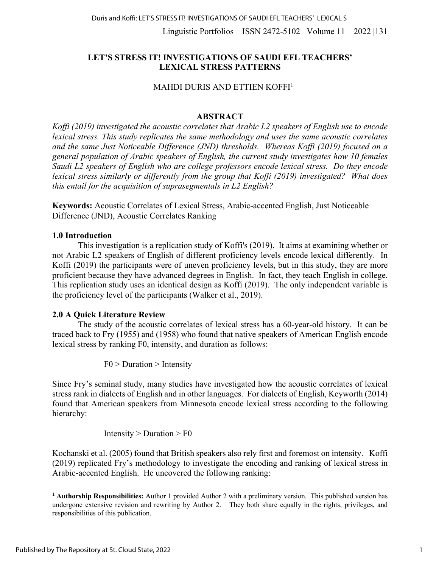Linguistic Portfolios – ISSN 2472-5102 –Volume 11 – 2022 |131

# **LET'S STRESS IT! INVESTIGATIONS OF SAUDI EFL TEACHERS' LEXICAL STRESS PATTERNS**

# MAHDI DURIS AND ETTIEN KOFFI1

# **ABSTRACT**

*Koffi (2019) investigated the acoustic correlates that Arabic L2 speakers of English use to encode lexical stress. This study replicates the same methodology and uses the same acoustic correlates and the same Just Noticeable Difference (JND) thresholds. Whereas Koffi (2019) focused on a general population of Arabic speakers of English, the current study investigates how 10 females Saudi L2 speakers of English who are college professors encode lexical stress. Do they encode lexical stress similarly or differently from the group that Koffi (2019) investigated? What does this entail for the acquisition of suprasegmentals in L2 English?*

**Keywords:** Acoustic Correlates of Lexical Stress, Arabic-accented English, Just Noticeable Difference (JND), Acoustic Correlates Ranking

## **1.0 Introduction**

This investigation is a replication study of Koffi's (2019). It aims at examining whether or not Arabic L2 speakers of English of different proficiency levels encode lexical differently. In Koffi (2019) the participants were of uneven proficiency levels, but in this study, they are more proficient because they have advanced degrees in English. In fact, they teach English in college. This replication study uses an identical design as Koffi (2019). The only independent variable is the proficiency level of the participants (Walker et al., 2019).

## **2.0 A Quick Literature Review**

The study of the acoustic correlates of lexical stress has a 60-year-old history. It can be traced back to Fry (1955) and (1958) who found that native speakers of American English encode lexical stress by ranking F0, intensity, and duration as follows:

 $F0$  > Duration > Intensity

Since Fry's seminal study, many studies have investigated how the acoustic correlates of lexical stress rank in dialects of English and in other languages. For dialects of English, Keyworth (2014) found that American speakers from Minnesota encode lexical stress according to the following hierarchy:

Intensity  $>$  Duration  $>$  F0

Kochanski et al. (2005) found that British speakers also rely first and foremost on intensity. Koffi (2019) replicated Fry's methodology to investigate the encoding and ranking of lexical stress in Arabic-accented English. He uncovered the following ranking:

<sup>1</sup> **Authorship Responsibilities:** Author 1 provided Author 2 with a preliminary version. This published version has undergone extensive revision and rewriting by Author 2. They both share equally in the rights, privileges, and responsibilities of this publication.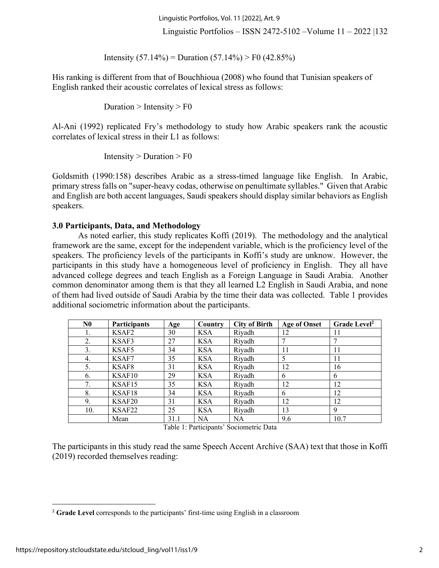Linguistic Portfolios, Vol. 11 [2022], Art. 9

Linguistic Portfolios – ISSN 2472-5102 –Volume 11 – 2022 |132

Intensity  $(57.14\%)$  = Duration  $(57.14\%)$  > F0  $(42.85\%)$ 

His ranking is different from that of Bouchhioua (2008) who found that Tunisian speakers of English ranked their acoustic correlates of lexical stress as follows:

Duration  $>$  Intensity  $>$  F0

Al-Ani (1992) replicated Fry's methodology to study how Arabic speakers rank the acoustic correlates of lexical stress in their L1 as follows:

Intensity  $>$  Duration  $>$  F0

Goldsmith (1990:158) describes Arabic as a stress-timed language like English. In Arabic, primary stress falls on "super-heavy codas, otherwise on penultimate syllables." Given that Arabic and English are both accent languages, Saudi speakers should display similar behaviors as English speakers.

#### **3.0 Participants, Data, and Methodology**

As noted earlier, this study replicates Koffi (2019). The methodology and the analytical framework are the same, except for the independent variable, which is the proficiency level of the speakers. The proficiency levels of the participants in Koffi's study are unknow. However, the participants in this study have a homogeneous level of proficiency in English. They all have advanced college degrees and teach English as a Foreign Language in Saudi Arabia. Another common denominator among them is that they all learned L2 English in Saudi Arabia, and none of them had lived outside of Saudi Arabia by the time their data was collected. Table 1 provides additional sociometric information about the participants.

| N <sub>0</sub> | <b>Participants</b> | Age  | Country    | <b>City of Birth</b> | <b>Age of Onset</b> | Grade Level <sup>2</sup> |  |
|----------------|---------------------|------|------------|----------------------|---------------------|--------------------------|--|
| 1.             | KSAF2               | 30   | <b>KSA</b> | Riyadh               | 12                  | 11                       |  |
| 2.             | KSAF3               | 27   | <b>KSA</b> | Riyadh               | 7                   |                          |  |
| 3.             | KSAF5               | 34   | <b>KSA</b> | Riyadh               | 11                  | 11                       |  |
| 4.             | KSAF7               | 35   | <b>KSA</b> | Riyadh               | 5                   | 11                       |  |
| 5.             | KSAF8               | 31   | <b>KSA</b> | Riyadh               | 12                  | 16                       |  |
| 6.             | KSAF10              | 29   | <b>KSA</b> | Riyadh               | 6                   | 6                        |  |
| 7.             | KSAF15              | 35   | <b>KSA</b> | Riyadh               | 12                  | 12                       |  |
| 8.             | KSAF18              | 34   | <b>KSA</b> | Riyadh               | 6                   | 12                       |  |
| 9.             | KSAF20              | 31   | <b>KSA</b> | Riyadh               | 12                  | 12                       |  |
| 10.            | KSAF22              | 25   | <b>KSA</b> | Riyadh               | 13                  | 9                        |  |
|                | Mean                | 31.1 | NA         | <b>NA</b>            | 9.6                 | 10.7                     |  |

Table 1: Participants' Sociometric Data

The participants in this study read the same Speech Accent Archive (SAA) text that those in Koffi (2019) recorded themselves reading:

<sup>2</sup> **Grade Level** corresponds to the participants' first-time using English in a classroom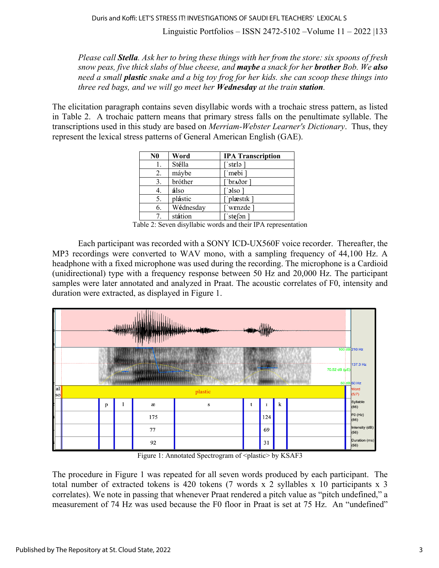Linguistic Portfolios – ISSN 2472-5102 –Volume 11 – 2022 |133

*Please call Stella. Ask her to bring these things with her from the store: six spoons of fresh snow peas, five thick slabs of blue cheese, and maybe a snack for her brother Bob. We also need a small plastic snake and a big toy frog for her kids. she can scoop these things into three red bags, and we will go meet her Wednesday at the train station.*

The elicitation paragraph contains seven disyllabic words with a trochaic stress pattern, as listed in Table 2. A trochaic pattern means that primary stress falls on the penultimate syllable. The transcriptions used in this study are based on *Merriam-Webster Learner's Dictionary*. Thus, they represent the lexical stress patterns of General American English (GAE).

| N <sub>0</sub> | Word      | <b>IPA Transcription</b>                           |
|----------------|-----------|----------------------------------------------------|
| 1.             | Stélla    | $^{\cdot \cdot}$ st $\epsilon$ lə $^{\cdot \cdot}$ |
| 2.             | máybe     | 'mebi                                              |
| 3.             | bróther   | ∵br <b>∧</b> ðər ]                                 |
|                | álso      | $\lceil$ olso $\lceil$                             |
| 5.             | plástic   | ['plæstik]                                         |
| 6.             | Wédnesday | wenzde                                             |
| 7              | státion   | $\lceil$ 'ste $\lceil$ ən $\rceil$                 |

Table 2: Seven disyllabic words and their IPA representation

Each participant was recorded with a SONY ICD-UX560F voice recorder. Thereafter, the MP3 recordings were converted to WAV mono, with a sampling frequency of 44,100 Hz. A headphone with a fixed microphone was used during the recording. The microphone is a Cardioid (unidirectional) type with a frequency response between 50 Hz and 20,000 Hz. The participant samples were later annotated and analyzed in Praat. The acoustic correlates of F0, intensity and duration were extracted, as displayed in Figure 1.



Figure 1: Annotated Spectrogram of <plastic> by KSAF3

The procedure in Figure 1 was repeated for all seven words produced by each participant. The total number of extracted tokens is 420 tokens (7 words x 2 syllables x 10 participants x 3 correlates). We note in passing that whenever Praat rendered a pitch value as "pitch undefined," a measurement of 74 Hz was used because the F0 floor in Praat is set at 75 Hz. An "undefined"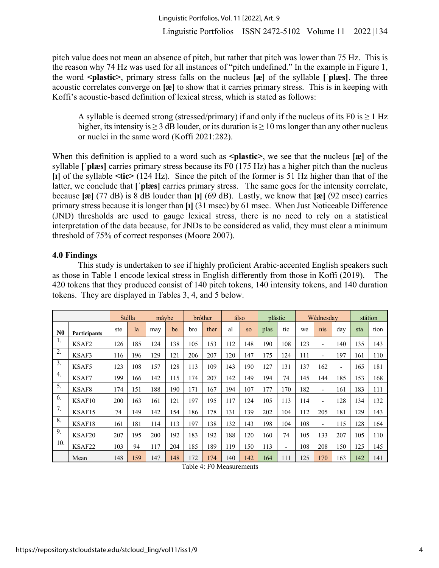pitch value does not mean an absence of pitch, but rather that pitch was lower than 75 Hz. This is the reason why 74 Hz was used for all instances of "pitch undefined." In the example in Figure 1, the word **<plastic>**, primary stress falls on the nucleus **[æ]** of the syllable **[ˈplæs]**. The three acoustic correlates converge on **[æ]** to show that it carries primary stress. This is in keeping with Koffi's acoustic-based definition of lexical stress, which is stated as follows:

A syllable is deemed strong (stressed/primary) if and only if the nucleus of its F0 is  $> 1$  Hz higher, its intensity is  $\geq 3$  dB louder, or its duration is  $\geq 10$  ms longer than any other nucleus or nuclei in the same word (Koffi 2021:282).

When this definition is applied to a word such as  $\epsilon$  **plastic**, we see that the nucleus [**æ**] of the syllable **[ˈplæs]** carries primary stress because its F0 (175 Hz) has a higher pitch than the nucleus **[ɪ]** of the syllable **<tic>** (124 Hz). Since the pitch of the former is 51 Hz higher than that of the latter, we conclude that **[ˈplæs]** carries primary stress. The same goes for the intensity correlate, because **[æ]** (77 dB) is 8 dB louder than **[ɪ]** (69 dB). Lastly, we know that **[æ]** (92 msec) carries primary stress because it is longer than **[ɪ]** (31 msec) by 61 msec. When Just Noticeable Difference (JND) thresholds are used to gauge lexical stress, there is no need to rely on a statistical interpretation of the data because, for JNDs to be considered as valid, they must clear a minimum threshold of 75% of correct responses (Moore 2007).

# **4.0 Findings**

This study is undertaken to see if highly proficient Arabic-accented English speakers such as those in Table 1 encode lexical stress in English differently from those in Koffi (2019). The 420 tokens that they produced consist of 140 pitch tokens, 140 intensity tokens, and 140 duration tokens. They are displayed in Tables 3, 4, and 5 below.

|                  |                     |     | Stélla | mávbe |           |     | <b>bróther</b> |     | álso      | plástic |                |     | Wédnesday                |     |     | státion |
|------------------|---------------------|-----|--------|-------|-----------|-----|----------------|-----|-----------|---------|----------------|-----|--------------------------|-----|-----|---------|
| N <sub>0</sub>   | <b>Participants</b> | ste | la     | may   | be        | bro | ther           | al  | <b>SO</b> | plas    | tic            | we  | nis                      | day | sta | tion    |
| 1.               | KSAF2               | 126 | 185    | 124   | 138       | 105 | 153            | 112 | 148       | 190     | 108            | 123 | $\overline{\phantom{0}}$ | 140 | 135 | 143     |
| 2.               | KSAF3               | 116 | 196    | 129   | 121       | 206 | 207            | 120 | 147       | 175     | 124            | 111 | $\overline{\phantom{0}}$ | 197 | 161 | 110     |
| 3.               | KSAF5               | 123 | 108    | 157   | 128       | 113 | 109            | 143 | 190       | 127     | 131            | 137 | 162                      | ٠   | 165 | 181     |
| $\overline{4}$ . | KSAF7               | 199 | 166    | 142   | 115       | 174 | 207            | 142 | 149       | 194     | 74             | 145 | 144                      | 185 | 153 | 168     |
| 5.               | KSAF8               | 174 | 151    | 188   | 190       | 171 | 167            | 194 | 107       | 177     | 170            | 182 | $\overline{\phantom{a}}$ | 161 | 183 | 111     |
| 6.               | KSAF10              | 200 | 163    | 161   | 121       | 197 | 195            | 117 | 124       | 105     | 113            | 114 | $\overline{\phantom{0}}$ | 128 | 134 | 132     |
| 7.               | KSAF15              | 74  | 149    | 142   | <b>54</b> | 186 | 178            | 131 | 139       | 202     | 104            | 112 | 205                      | 181 | 129 | 143     |
| 8.               | KSAF18              | 161 | 181    | 114   | 113       | 197 | 138            | 132 | 143       | 198     | 104            | 108 | $\overline{\phantom{0}}$ | 115 | 128 | 164     |
| 9.               | KSAF20              | 207 | 195    | 200   | 192       | 183 | 192            | 188 | 120       | 160     | 74             | 105 | 133                      | 207 | 105 | 110     |
| 10.              | KSAF22              | 103 | 94     | 117   | 204       | 185 | 189            | 119 | 150       | 113     | $\overline{a}$ | 108 | 208                      | 50  | 125 | 145     |
|                  | Mean                | 148 | 159    | 147   | 148       | 172 | 174            | 140 | 142       | 164     | 111            | 125 | 170                      | 163 | 142 | 141     |

Table 4: F0 Measurements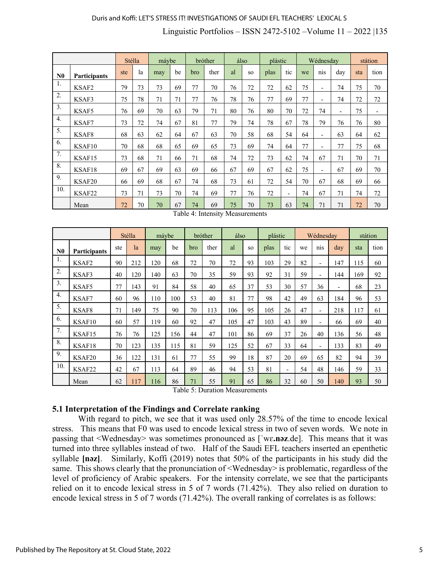# Duris and Koffi: LET'S STRESS IT! INVESTIGATIONS OF SAUDI EFL TEACHERS' LEXICAL S

# Linguistic Portfolios – ISSN 2472-5102 –Volume 11 – 2022 |135

|                  |              | Stélla |    | máybe |    |     | bróther |    | álso      | plástic |                          |    | Wédnesday                    |     |     | státion |
|------------------|--------------|--------|----|-------|----|-----|---------|----|-----------|---------|--------------------------|----|------------------------------|-----|-----|---------|
| N <sub>0</sub>   | Participants | ste    | la | may   | be | bro | ther    | al | <b>SO</b> | plas    | tic                      | we | nis                          | day | sta | tion    |
| 1.               | KSAF2        | 79     | 73 | 73    | 69 | 77  | 70      | 76 | 72        | 72      | 62                       | 75 | $\blacksquare$               | 74  | 75  | 70      |
| $\overline{2}$ . | KSAF3        | 75     | 78 | 71    | 71 | 77  | 76      | 78 | 76        | 77      | 69                       | 77 | $\qquad \qquad \blacksquare$ | 74  | 72  | 72      |
| 3.               | KSAF5        | 76     | 69 | 70    | 63 | 79  | 71      | 80 | 76        | 80      | 70                       | 72 | 74                           | ٠   | 75  | ٠       |
| $\overline{4}$ . | KSAF7        | 73     | 72 | 74    | 67 | 81  | 77      | 79 | 74        | 78      | 67                       | 78 | 79                           | 76  | 76  | 80      |
| 5.               | KSAF8        | 68     | 63 | 62    | 64 | 67  | 63      | 70 | 58        | 68      | 54                       | 64 | $\overline{\phantom{a}}$     | 63  | 64  | 62      |
| 6.               | KSAF10       | 70     | 68 | 68    | 65 | 69  | 65      | 73 | 69        | 74      | 64                       | 77 | $\overline{\phantom{a}}$     | 77  | 75  | 68      |
| $\overline{7}$ . | KSAF15       | 73     | 68 | 71    | 66 | 71  | 68      | 74 | 72        | 73      | 62                       | 74 | 67                           | 71  | 70  | 71      |
| 8.               | KSAF18       | 69     | 67 | 69    | 63 | 69  | 66      | 67 | 69        | 67      | 62                       | 75 | $\overline{\phantom{a}}$     | 67  | 69  | 70      |
| 9.               | KSAF20       | 66     | 69 | 68    | 67 | 74  | 68      | 73 | 61        | 72      | 54                       | 70 | 67                           | 68  | 69  | 66      |
| 10.              | KSAF22       | 73     | 71 | 73    | 70 | 74  | 69      | 77 | 76        | 72      | $\overline{\phantom{a}}$ | 74 | 67                           | 71  | 74  | 72      |
|                  | Mean         | 72     | 70 | 70    | 67 | 74  | 69      | 75 | 70        | 73      | 63                       | 74 | 71                           | 71  | 72  | 70      |

| Table 4: Intensity Measurements |  |
|---------------------------------|--|
|---------------------------------|--|

|                  |              |     | Stélla | máybe |     |     | bróther | álso |           | plástic |                          |    | Wédnesdav      |     |     | státion |
|------------------|--------------|-----|--------|-------|-----|-----|---------|------|-----------|---------|--------------------------|----|----------------|-----|-----|---------|
| N <sub>0</sub>   | Participants | ste | la     | may   | be  | bro | ther    | al   | <b>SO</b> | plas    | tic                      | we | nis            | day | sta | tion    |
| -1.              | KSAF2        | 90  | 212    | 120   | 68  | 72  | 70      | 72   | 93        | 103     | 29                       | 82 | ٠              | 147 | 115 | 60      |
| 2.               | KSAF3        | 40  | 120    | 140   | 63  | 70  | 35      | 59   | 93        | 92      | 31                       | 59 | ٠              | 144 | 169 | 92      |
| 3.               | KSAF5        | 77  | 143    | 91    | 84  | 58  | 40      | 65   | 37        | 53      | 30                       | 57 | 36             | Ξ.  | 68  | 23      |
| $\overline{4}$ . | KSAF7        | 60  | 96     | 110   | 100 | 53  | 40      | 81   | 77        | 98      | 42                       | 49 | 63             | 184 | 96  | 53      |
| 5.               | KSAF8        | 71  | 149    | 75    | 90  | 70  | 113     | 106  | 95        | 105     | 26                       | 47 | $\overline{a}$ | 218 | 117 | 61      |
| 6.               | KSAF10       | 60  | 57     | 119   | 60  | 92  | 47      | 105  | 47        | 103     | 43                       | 89 | ٠              | 66  | 69  | 40      |
| 7.               | KSAF15       | 76  | 76     | 125   | 156 | 44  | 47      | 101  | 86        | 69      | 37                       | 26 | 40             | 136 | 56  | 48      |
| 8.               | KSAF18       | 70  | 123    | 135   | 115 | 81  | 59      | 125  | 52        | 67      | 33                       | 64 | $\overline{a}$ | 133 | 83  | 49      |
| 9.               | KSAF20       | 36  | 122    | 131   | 61  | 77  | 55      | 99   | 18        | 87      | 20                       | 69 | 65             | 82  | 94  | 39      |
| 10.              | KSAF22       | 42  | 67     | 113   | 64  | 89  | 46      | 94   | 53        | 81      | $\overline{\phantom{a}}$ | 54 | 48             | 146 | 59  | 33      |
|                  | Mean         | 62  | 117    | 116   | 86  | 71  | 55      | 91   | 65        | 86      | 32                       | 60 | 50             | 140 | 93  | 50      |

Table 5: Duration Measurements

## **5.1 Interpretation of the Findings and Correlate ranking**

With regard to pitch, we see that it was used only 28.57% of the time to encode lexical stress. This means that F0 was used to encode lexical stress in two of seven words. We note in passing that <Wednesday> was sometimes pronounced as [ˈwɛ**.nəz**.de]. This means that it was turned into three syllables instead of two. Half of the Saudi EFL teachers inserted an epenthetic syllable **[nəz]**. Similarly, Koffi (2019) notes that 50% of the participants in his study did the same. This shows clearly that the pronunciation of <Wednesday> is problematic, regardless of the level of proficiency of Arabic speakers. For the intensity correlate, we see that the participants relied on it to encode lexical stress in 5 of 7 words (71.42%). They also relied on duration to encode lexical stress in 5 of 7 words (71.42%). The overall ranking of correlates is as follows: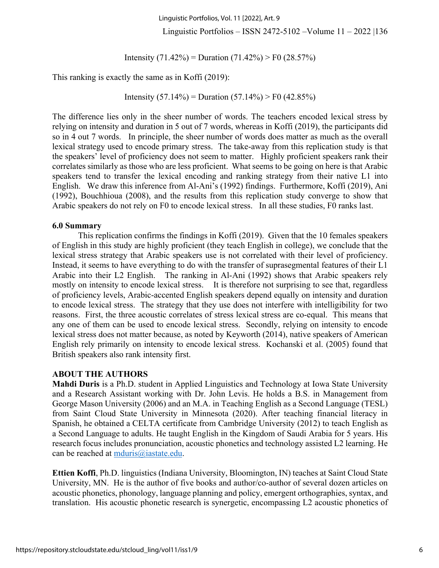Linguistic Portfolios, Vol. 11 [2022], Art. 9

Linguistic Portfolios – ISSN 2472-5102 –Volume 11 – 2022 |136

Intensity  $(71.42\%)$  = Duration  $(71.42\%)$  > F0  $(28.57\%)$ 

This ranking is exactly the same as in Koffi (2019):

Intensity  $(57.14\%)$  = Duration  $(57.14\%)$  > F0  $(42.85\%)$ 

The difference lies only in the sheer number of words. The teachers encoded lexical stress by relying on intensity and duration in 5 out of 7 words, whereas in Koffi (2019), the participants did so in 4 out 7 words. In principle, the sheer number of words does matter as much as the overall lexical strategy used to encode primary stress. The take-away from this replication study is that the speakers' level of proficiency does not seem to matter. Highly proficient speakers rank their correlates similarly as those who are less proficient. What seems to be going on here is that Arabic speakers tend to transfer the lexical encoding and ranking strategy from their native L1 into English. We draw this inference from Al-Ani's (1992) findings. Furthermore, Koffi (2019), Ani (1992), Bouchhioua (2008), and the results from this replication study converge to show that Arabic speakers do not rely on F0 to encode lexical stress. In all these studies, F0 ranks last.

#### **6.0 Summary**

This replication confirms the findings in Koffi (2019). Given that the 10 females speakers of English in this study are highly proficient (they teach English in college), we conclude that the lexical stress strategy that Arabic speakers use is not correlated with their level of proficiency. Instead, it seems to have everything to do with the transfer of suprasegmental features of their L1 Arabic into their L2 English. The ranking in Al-Ani (1992) shows that Arabic speakers rely mostly on intensity to encode lexical stress. It is therefore not surprising to see that, regardless of proficiency levels, Arabic-accented English speakers depend equally on intensity and duration to encode lexical stress. The strategy that they use does not interfere with intelligibility for two reasons. First, the three acoustic correlates of stress lexical stress are co-equal. This means that any one of them can be used to encode lexical stress. Secondly, relying on intensity to encode lexical stress does not matter because, as noted by Keyworth (2014), native speakers of American English rely primarily on intensity to encode lexical stress. Kochanski et al. (2005) found that British speakers also rank intensity first.

## **ABOUT THE AUTHORS**

**Mahdi Duris** is a Ph.D. student in Applied Linguistics and Technology at Iowa State University and a Research Assistant working with Dr. John Levis. He holds a B.S. in Management from George Mason University (2006) and an M.A. in Teaching English as a Second Language (TESL) from Saint Cloud State University in Minnesota (2020). After teaching financial literacy in Spanish, he obtained a CELTA certificate from Cambridge University (2012) to teach English as a Second Language to adults. He taught English in the Kingdom of Saudi Arabia for 5 years. His research focus includes pronunciation, acoustic phonetics and technology assisted L2 learning. He can be reached at mduris@iastate.edu.

**Ettien Koffi**, Ph.D. linguistics (Indiana University, Bloomington, IN) teaches at Saint Cloud State University, MN. He is the author of five books and author/co-author of several dozen articles on acoustic phonetics, phonology, language planning and policy, emergent orthographies, syntax, and translation. His acoustic phonetic research is synergetic, encompassing L2 acoustic phonetics of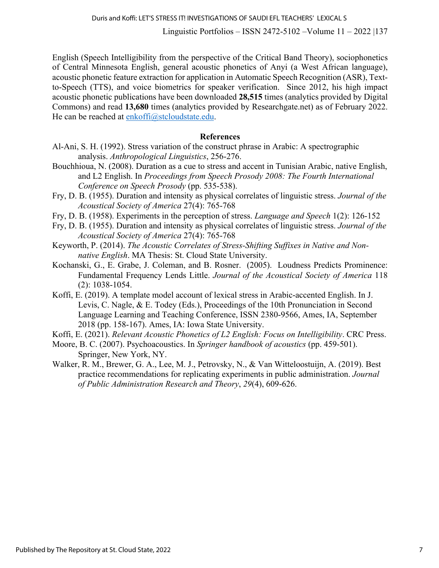Linguistic Portfolios – ISSN 2472-5102 –Volume 11 – 2022 |137

English (Speech Intelligibility from the perspective of the Critical Band Theory), sociophonetics of Central Minnesota English, general acoustic phonetics of Anyi (a West African language), acoustic phonetic feature extraction for application in Automatic Speech Recognition (ASR), Textto-Speech (TTS), and voice biometrics for speaker verification. Since 2012, his high impact acoustic phonetic publications have been downloaded **28,515** times (analytics provided by Digital Commons) and read **13,680** times (analytics provided by Researchgate.net) as of February 2022. He can be reached at enkoffi@stcloudstate.edu.

#### **References**

- Al-Ani, S. H. (1992). Stress variation of the construct phrase in Arabic: A spectrographic analysis. *Anthropological Linguistics*, 256-276.
- Bouchhioua, N. (2008). Duration as a cue to stress and accent in Tunisian Arabic, native English, and L2 English. In *Proceedings from Speech Prosody 2008: The Fourth International Conference on Speech Prosody* (pp. 535-538).
- Fry, D. B. (1955). Duration and intensity as physical correlates of linguistic stress. *Journal of the Acoustical Society of America* 27(4): 765-768
- Fry, D. B. (1958). Experiments in the perception of stress. *Language and Speech* 1(2): 126-152
- Fry, D. B. (1955). Duration and intensity as physical correlates of linguistic stress. *Journal of the Acoustical Society of America* 27(4): 765-768
- Keyworth, P. (2014). *The Acoustic Correlates of Stress-Shifting Suffixes in Native and Nonnative English*. MA Thesis: St. Cloud State University.
- Kochanski, G., E. Grabe, J. Coleman, and B. Rosner. (2005). Loudness Predicts Prominence: Fundamental Frequency Lends Little. *Journal of the Acoustical Society of America* 118 (2): 1038-1054.
- Koffi, E. (2019). A template model account of lexical stress in Arabic-accented English. In J. Levis, C. Nagle, & E. Todey (Eds.), Proceedings of the 10th Pronunciation in Second Language Learning and Teaching Conference, ISSN 2380-9566, Ames, IA, September 2018 (pp. 158-167). Ames, IA: Iowa State University.
- Koffi, E. (2021). *Relevant Acoustic Phonetics of L2 English: Focus on Intelligibility*. CRC Press.
- Moore, B. C. (2007). Psychoacoustics. In *Springer handbook of acoustics* (pp. 459-501). Springer, New York, NY.
- Walker, R. M., Brewer, G. A., Lee, M. J., Petrovsky, N., & Van Witteloostuijn, A. (2019). Best practice recommendations for replicating experiments in public administration. *Journal of Public Administration Research and Theory*, *29*(4), 609-626.